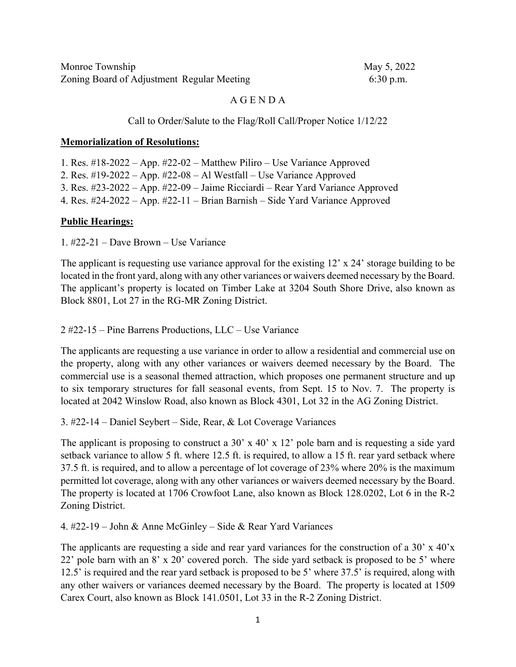| Monroe Township |                                            |  |
|-----------------|--------------------------------------------|--|
|                 | Zoning Board of Adjustment Regular Meeting |  |

May 5, 2022  $6:30$  p.m.

### A G E N D A

#### Call to Order/Salute to the Flag/Roll Call/Proper Notice 1/12/22

#### **Memorialization of Resolutions:**

1. Res. #18-2022 – App. #22-02 – Matthew Piliro – Use Variance Approved 2. Res. #19-2022 – App. #22-08 – Al Westfall – Use Variance Approved 3. Res. #23-2022 – App. #22-09 – Jaime Ricciardi – Rear Yard Variance Approved 4. Res. #24-2022 – App. #22-11 – Brian Barnish – Side Yard Variance Approved

#### **Public Hearings:**

1. #22-21 – Dave Brown – Use Variance

The applicant is requesting use variance approval for the existing 12' x 24' storage building to be located in the front yard, along with any other variances or waivers deemed necessary by the Board. The applicant's property is located on Timber Lake at 3204 South Shore Drive, also known as Block 8801, Lot 27 in the RG-MR Zoning District.

2 #22-15 – Pine Barrens Productions, LLC – Use Variance

The applicants are requesting a use variance in order to allow a residential and commercial use on the property, along with any other variances or waivers deemed necessary by the Board. The commercial use is a seasonal themed attraction, which proposes one permanent structure and up to six temporary structures for fall seasonal events, from Sept. 15 to Nov. 7. The property is located at 2042 Winslow Road, also known as Block 4301, Lot 32 in the AG Zoning District.

3. #22-14 – Daniel Seybert – Side, Rear, & Lot Coverage Variances

The applicant is proposing to construct a 30' x 40' x 12' pole barn and is requesting a side yard setback variance to allow 5 ft. where 12.5 ft. is required, to allow a 15 ft. rear yard setback where 37.5 ft. is required, and to allow a percentage of lot coverage of 23% where 20% is the maximum permitted lot coverage, along with any other variances or waivers deemed necessary by the Board. The property is located at 1706 Crowfoot Lane, also known as Block 128.0202, Lot 6 in the R-2 Zoning District.

4. #22-19 – John & Anne McGinley – Side & Rear Yard Variances

The applicants are requesting a side and rear yard variances for the construction of a 30' x  $40'x$ 22' pole barn with an 8' x 20' covered porch. The side yard setback is proposed to be 5' where 12.5' is required and the rear yard setback is proposed to be 5' where 37.5' is required, along with any other waivers or variances deemed necessary by the Board. The property is located at 1509 Carex Court, also known as Block 141.0501, Lot 33 in the R-2 Zoning District.